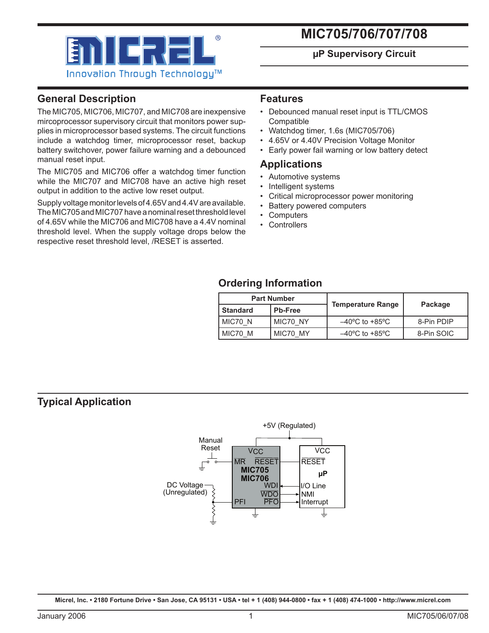

# **MIC705/706/707/708**

### **µP Supervisory Circuit**

# **General Description**

The MIC705, MIC706, MIC707, and MIC708 are inexpensive mircoprocessor supervisory circuit that monitors power supplies in microprocessor based systems. The circuit functions include a watchdog timer, microprocessor reset, backup battery switchover, power failure warning and a debounced manual reset input.

The MIC705 and MIC706 offer a watchdog timer function while the MIC707 and MIC708 have an active high reset output in addition to the active low reset output.

Supply voltage monitor levels of 4.65V and 4.4V are available. The MIC705 and MIC707 have a nominal reset threshold level of 4.65V while the MIC706 and MIC708 have a 4.4V nominal threshold level. When the supply voltage drops below the respective reset threshold level, /RESET is asserted.

### **Features**

- Debounced manual reset input is TTL/CMOS **Compatible**
- Watchdog timer, 1.6s (MIC705/706)
- 4.65V or 4.40V Precision Voltage Monitor
- Early power fail warning or low battery detect

### **Applications**

- Automotive systems
- Intelligent systems
- Critical microprocessor power monitoring
- Battery powered computers
- **Computers**
- Controllers

# **Ordering Information**

| <b>Part Number</b> |                |                                    | Package    |  |
|--------------------|----------------|------------------------------------|------------|--|
| l Standard         | <b>Pb-Free</b> | <b>Temperature Range</b>           |            |  |
| MIC70 N            | MIC70 NY       | $-40^{\circ}$ C to $+85^{\circ}$ C | 8-Pin PDIP |  |
| MIC70 M            | MIC70 MY       | $-40^{\circ}$ C to $+85^{\circ}$ C | 8-Pin SOIC |  |

## **Typical Application**

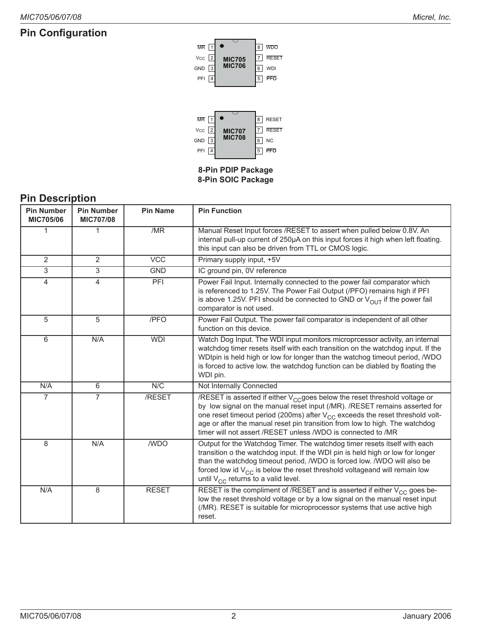# **Pin Configuration**



# **Pin Description**

| <b>Pin Number</b><br><b>MIC705/06</b> | <b>Pin Number</b><br><b>MIC707/08</b> | <b>Pin Name</b> | <b>Pin Function</b>                                                                                                                                                                                                                                                                                                                                                                                             |
|---------------------------------------|---------------------------------------|-----------------|-----------------------------------------------------------------------------------------------------------------------------------------------------------------------------------------------------------------------------------------------------------------------------------------------------------------------------------------------------------------------------------------------------------------|
| 1                                     | 1                                     | /MR             | Manual Reset Input forces /RESET to assert when pulled below 0.8V. An<br>internal pull-up current of 250µA on this input forces it high when left floating.<br>this input can also be driven from TTL or CMOS logic.                                                                                                                                                                                            |
| $\overline{2}$                        | $\overline{2}$                        | <b>VCC</b>      | Primary supply input, +5V                                                                                                                                                                                                                                                                                                                                                                                       |
| 3                                     | 3                                     | <b>GND</b>      | IC ground pin, 0V reference                                                                                                                                                                                                                                                                                                                                                                                     |
| $\overline{4}$                        | 4                                     | PFI             | Power Fail Input. Internally connected to the power fail comparator which<br>is referenced to 1.25V. The Power Fail Output (/PFO) remains high if PFI<br>is above 1.25V. PFI should be connected to GND or $V_{OUT}$ if the power fail<br>comparator is not used.                                                                                                                                               |
| 5                                     | 5                                     | /PFO            | Power Fail Output. The power fail comparator is independent of all other<br>function on this device.                                                                                                                                                                                                                                                                                                            |
| 6                                     | N/A                                   | <b>WDI</b>      | Watch Dog Input. The WDI input monitors microprcessor activity, an internal<br>watchdog timer resets itself with each transition on the watchdog input. If the<br>WDIpin is held high or low for longer than the watchog timeout period, /WDO<br>is forced to active low. the watchdog function can be diabled by floating the<br>WDI pin.                                                                      |
| N/A                                   | 6                                     | N/C             | Not Internally Connected                                                                                                                                                                                                                                                                                                                                                                                        |
| $\overline{7}$                        | $\overline{7}$                        | /RESET          | /RESET is asserted if either V <sub>CC</sub> goes below the reset threshold voltage or<br>by low signal on the manual reset input (/MR). /RESET remains asserted for<br>one reset timeout period (200ms) after V <sub>CC</sub> exceeds the reset threshold volt-<br>age or after the manual reset pin transition from low to high. The watchdog<br>timer will not assert /RESET unless /WDO is connected to /MR |
| 8                                     | N/A                                   | /WDO            | Output for the Watchdog Timer. The watchdog timer resets itself with each<br>transition o the watchdog input. If the WDI pin is held high or low for longer<br>than the watchdog timeout period, /WDO is forced low. /WDO will also be<br>forced low id $V_{CC}$ is below the reset threshold voltageand will remain low<br>until $V_{CC}$ returns to a valid level.                                            |
| N/A                                   | 8                                     | <b>RESET</b>    | RESET is the compliment of /RESET and is asserted if either $V_{CC}$ goes be-<br>low the reset threshold voltage or by a low signal on the manual reset input<br>(/MR). RESET is suitable for microprocessor systems that use active high<br>reset.                                                                                                                                                             |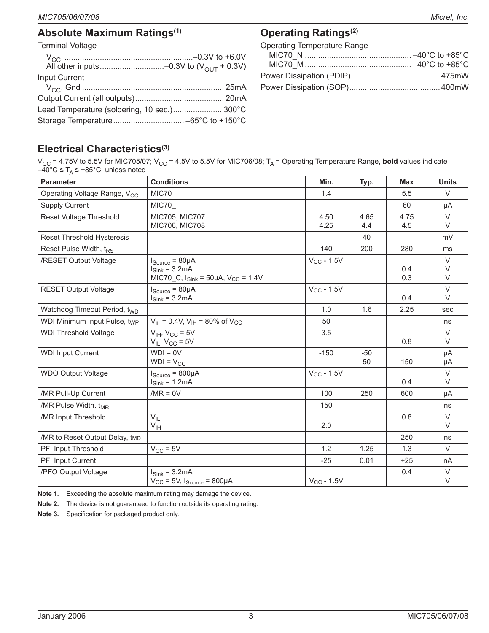Terminal Voltage

| Input Current                               |  |
|---------------------------------------------|--|
|                                             |  |
|                                             |  |
| Lead Temperature (soldering, 10 sec.) 300°C |  |
|                                             |  |

# **Operating Ratings(2)**

Operating Temperature Range

# **Electrical Characteristics(3)**

 $V_{\rm CC}$  = 4.75V to 5.5V for MIC705/07; V<sub>CC</sub> = 4.5V to 5.5V for MIC706/08; T<sub>A</sub> = Operating Temperature Range, **bold** values indicate  $-40^{\circ}$ C ≤ T<sub>A</sub> ≤ +85°C; unless noted

| <b>Parameter</b>                           | <b>Conditions</b>                                                                                                | Min.            | Typ.        | <b>Max</b>  | <b>Units</b>          |
|--------------------------------------------|------------------------------------------------------------------------------------------------------------------|-----------------|-------------|-------------|-----------------------|
| Operating Voltage Range, V <sub>CC</sub>   | MIC70_                                                                                                           | 1.4             |             | 5.5         | $\vee$                |
| <b>Supply Current</b>                      | MIC70_                                                                                                           |                 |             | 60          | μA                    |
| Reset Voltage Threshold                    | MIC705, MIC707<br>MIC706, MIC708                                                                                 | 4.50<br>4.25    | 4.65<br>4.4 | 4.75<br>4.5 | $\vee$<br>$\vee$      |
| Reset Threshold Hysteresis                 |                                                                                                                  |                 | 40          |             | mV                    |
| Reset Pulse Width, t <sub>RS</sub>         |                                                                                                                  | 140             | 200         | 280         | ms                    |
| /RESET Output Voltage                      | $I_{Source} = 80 \mu A$<br>$I_{\text{Sink}}$ = 3.2mA<br>MIC70_C, $I_{\text{Sink}} = 50 \mu A$ , $V_{CC} = 1.4 V$ | $V_{CC}$ - 1.5V |             | 0.4<br>0.3  | $\vee$<br>V<br>$\vee$ |
| <b>RESET Output Voltage</b>                | $I_{Source} = 80 \mu A$<br>$Isink = 3.2mA$                                                                       | $V_{CC}$ - 1.5V |             | 0.4         | $\vee$<br>$\vee$      |
| Watchdog Timeout Period, twn               |                                                                                                                  | 1.0             | 1.6         | 2.25        | sec                   |
| WDI Minimum Input Pulse, twp               | $V_{\text{IL}}$ = 0.4V, V <sub>IH</sub> = 80% of V <sub>CC</sub>                                                 | 50              |             |             | ns                    |
| <b>WDI Threshold Voltage</b>               | $V_{IH}$ , $V_{CC}$ = 5V<br>$V_{IL}$ , $V_{CC}$ = 5V                                                             | 3.5             |             | 0.8         | $\vee$<br>V           |
| <b>WDI Input Current</b>                   | $WDI = 0V$<br>$WDI = V_{CC}$                                                                                     | $-150$          | $-50$<br>50 | 150         | μA<br>μA              |
| <b>WDO Output Voltage</b>                  | $I_{Source} = 800 \mu A$<br>$I_{\text{Sink}} = 1.2 \text{mA}$                                                    | $V_{CC}$ - 1.5V |             | 0.4         | $\vee$<br>$\vee$      |
| /MR Pull-Up Current                        | $/MR = 0V$                                                                                                       | 100             | 250         | 600         | μA                    |
| /MR Pulse Width, t <sub>MR</sub>           |                                                                                                                  | 150             |             |             | ns                    |
| /MR Input Threshold                        | $V_{IL}$<br>$V_{\text{IH}}$                                                                                      | 2.0             |             | 0.8         | $\vee$<br>$\vee$      |
| /MR to Reset Output Delay, t <sub>MD</sub> |                                                                                                                  |                 |             | 250         | ns                    |
| PFI Input Threshold                        | $V_{CC}$ = 5V                                                                                                    | 1.2             | 1.25        | 1.3         | $\vee$                |
| PFI Input Current                          |                                                                                                                  | $-25$           | 0.01        | $+25$       | nA                    |
| /PFO Output Voltage                        | $I_{\text{Sink}}$ = 3.2mA<br>$V_{CC}$ = 5V, $I_{Source}$ = 800µA                                                 | $V_{CC}$ - 1.5V |             | 0.4         | $\vee$<br>$\vee$      |

**Note 1.** Exceeding the absolute maximum rating may damage the device.

**Note 2.** The device is not guaranteed to function outside its operating rating.

**Note 3.** Specification for packaged product only.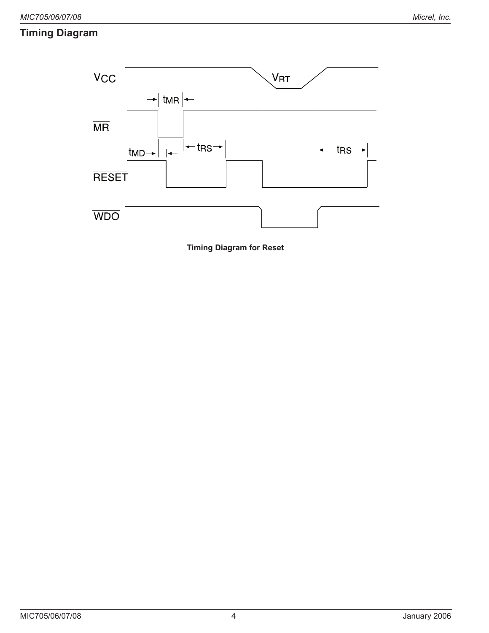# **Timing Diagram**



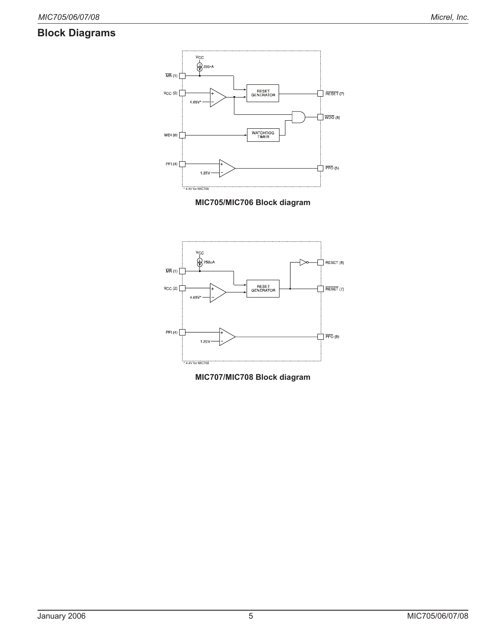# **Block Diagrams**







**MIC707/MIC708 Block diagram**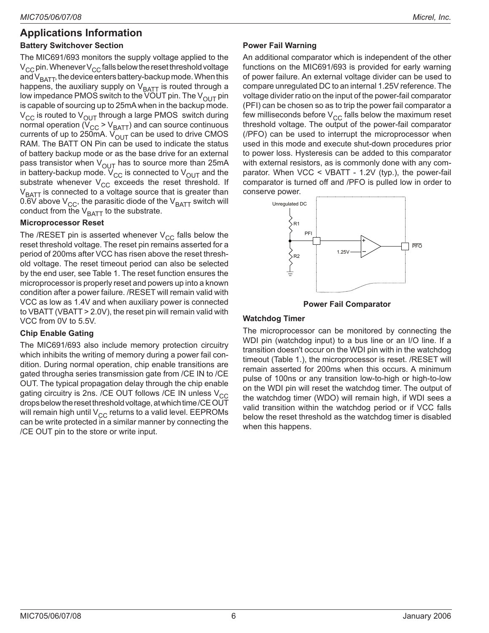# **Applications Information**

### **Battery Switchover Section**

The MIC691/693 monitors the supply voltage applied to the  $V_{CC}$  pin. Whenever  $V_{CC}$  falls below the reset threshold voltage and  $V_{\text{BATT}}$ , the device enters battery-backup mode. When this happens, the auxiliary supply on  $V_{\text{BAT}}$  is routed through a low impedance PMOS switch to the VOUT pin. The  $V_{\text{OUT}}$  pin is capable of sourcing up to 25mA when in the backup mode.  $V_{CC}$  is routed to  $V_{OUT}$  through a large PMOS switch during normal operation ( $\dot{V}_{CC}$  >  $V_{BAT}$ ) and can source continuous currents of up to 250mA.  $V_{OUT}$  can be used to drive CMOS RAM. The BATT ON Pin can be used to indicate the status of battery backup mode or as the base drive for an external pass transistor when  $V_{\text{OUT}}$  has to source more than 25mA in battery-backup mode.  $V_{CC}$  is connected to  $V_{OUT}$  and the substrate whenever  $V_{CC}$  exceeds the reset threshold. If  $V<sub>BATT</sub>$  is connected to a voltage source that is greater than 0.6V above  $V_{CC}$ , the parasitic diode of the  $V_{BAT}$  switch will conduct from the  $V_{\text{BATT}}$  to the substrate.

### **Microprocessor Reset**

The /RESET pin is asserted whenever  $V_{CC}$  falls below the reset threshold voltage. The reset pin remains asserted for a period of 200ms after VCC has risen above the reset threshold voltage. The reset timeout period can also be selected by the end user, see Table 1. The reset function ensures the microprocessor is properly reset and powers up into a known condition after a power failure. /RESET will remain valid with VCC as low as 1.4V and when auxiliary power is connected to VBATT (VBATT > 2.0V), the reset pin will remain valid with VCC from 0V to 5.5V.

### **Chip Enable Gating**

The MIC691/693 also include memory protection circuitry which inhibits the writing of memory during a power fail condition. During normal operation, chip enable transitions are gated througha series transmission gate from /CE IN to /CE OUT. The typical propagation delay through the chip enable gating circuitry is 2ns. /CE OUT follows /CE IN unless  $V_{CC}$ drops below the reset threshold voltage, at which time /CE OUT will remain high until  $V_{CC}$  returns to a valid level. EEPROMs can be write protected in a similar manner by connecting the /CE OUT pin to the store or write input.

### **Power Fail Warning**

An additional comparator which is independent of the other functions on the MIC691/693 is provided for early warning of power failure. An external voltage divider can be used to compare unregulated DC to an internal 1.25V reference. The voltage divider ratio on the input of the power-fail comparator (PFI) can be chosen so as to trip the power fail comparator a few milliseconds before  $V_{CC}$  falls below the maximum reset threshold voltage. The output of the power-fail comparator (/PFO) can be used to interrupt the microprocessor when used in this mode and execute shut-down procedures prior to power loss. Hysteresis can be added to this comparator with external resistors, as is commonly done with any comparator. When VCC < VBATT - 1.2V (typ.), the power-fail comparator is turned off and /PFO is pulled low in order to conserve power.





#### **Watchdog Timer**

The microprocessor can be monitored by connecting the WDI pin (watchdog input) to a bus line or an I/O line. If a transition doesn't occur on the WDI pin with in the watchdog timeout (Table 1.), the microprocessor is reset. /RESET will remain asserted for 200ms when this occurs. A minimum pulse of 100ns or any transition low-to-high or high-to-low on the WDI pin will reset the watchdog timer. The output of the watchdog timer (WDO) will remain high, if WDI sees a valid transition within the watchdog period or if VCC falls below the reset threshold as the watchdog timer is disabled when this happens.